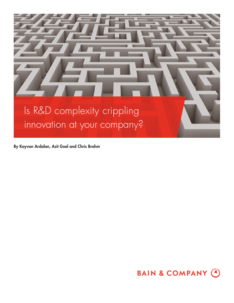

**By Kayvan Ardalan, Asit Goel and Chris Brahm**

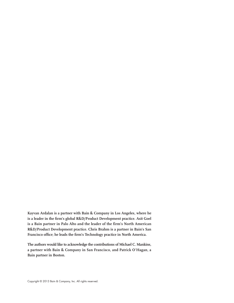**Kayvan Ardalan is a partner with Bain & Company in Los Angeles, where he**  is a leader in the firm's global R&D/Product Development practice. Asit Goel **is a Bain partner in Palo Alto and the leader of the firm's North American R&D/Product Development practice. Chris Brahm is a partner in Bain's San**  Francisco office; he leads the firm's Technology practice in North America.

**The authors would like to acknowledge the contributions of Michael C. Mankins, a partner with Bain & Company in San Francisco, and Patrick O'Hagan, a Bain partner in Boston.**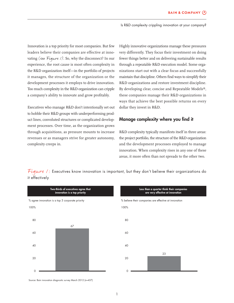Innovation is a top priority for most companies. But few leaders believe their companies are effective at innovating (see Figure  $\ell$ ). So, why the disconnect? In our experience, the root cause is most often complexity in the R&D organization itself—in the portfolio of projects it manages, the structure of the organization or the development processes it employs to drive innovation. Too much complexity in the R&D organization can cripple a company's ability to innovate and grow profitably.

Executives who manage R&D don't intentionally set out to hobble their R&D groups with underperforming product lines, convoluted structures or complicated development processes. Over time, as the organization grows through acquisitions, as pressure mounts to increase revenues or as managers strive for greater autonomy, complexity creeps in.

Highly innovative organizations manage these pressures very differently. They focus their investment on doing fewer things better and on delivering sustainable results through a repeatable R&D execution model. Some organizations start out with a clear focus and successfully maintain that discipline. Others find ways to simplify their R&D organizations and restore investment discipline. By developing clear, concise and Repeatable Models®, these companies manage their R&D organizations in ways that achieve the best possible returns on every dollar they invest in R&D.

### **Manage complexity where you find it**

R&D complexity typically manifests itself in three areas: the project portfolio, the structure of the R&D organization and the development processes employed to manage innovation. When complexity rises in any one of these areas, it more often than not spreads to the other two.

Figure 1: Executives know innovation is important, but they don't believe their organizations do it effectively



Source: Bain innovation diagnostic survey March 2012 (n=437)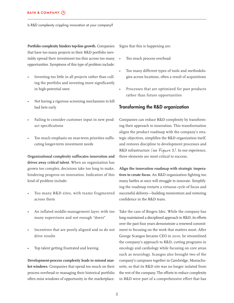**Portfolio complexity hinders top-line growth.** Companies that have too many projects in their R&D portfolio inevitably spread their investment too thin across too many opportunities. Symptoms of this type of problem include:

- Investing too little in all projects rather than culling the portfolio and investing more significantly in high-potential ones
- Not having a rigorous screening mechanism to kill bad bets early
- Failing to consider customer input in new product specifications
- Too much emphasis on near-term priorities suffocating longer-term investment needs

**Organizational complexity suffocates innovation and drives away critical talent.** When an organization has grown too complex, decisions take too long to make, hindering progress on innovation. Indicators of this kind of problem include:

- Too many R&D sites, with teams fragmented across them
- An inflated middle-management layer, with too many supervisors and not enough "doers"
- Incentives that are poorly aligned and so do not drive results
- Top talent getting frustrated and leaving

**Development-process complexity leads to missed market windows.** Companies that spend too much on their process overhead or managing their historical portfolio often miss windows of opportunity in the marketplace. Signs that this is happening are:

- Too much process overhead
- Too many different types of tools and methodologies across locations, often a result of acquisitions
- Processes that are optimized for past products rather than future opportunities

### **Transforming the R&D organization**

Companies can reduce R&D complexity by transforming their approach to innovation. This transformation aligns the product roadmap with the company's strategic objectives, simplifies the R&D organization itself, and restores discipline to development processes and R&D infrastructure (see Figure 2). In our experience, three elements are most critical to success.

**Align the innovation roadmap with strategic impera**tives to create focus. An R&D organization fighting too many battles at once will struggle to innovate. Simplifying the roadmap restarts a virtuous cycle of focus and successful delivery—building momentum and restoring confidence in the R&D team.

Take the case of Biogen Idec. While the company has long maintained a disciplined approach to R&D, its efforts over the past four years demonstrate a renewed commitment to focusing on the work that matters most. After George Scangos became CEO in 2010, he streamlined the company's approach to R&D, cutting programs in oncology and cardiology while focusing on core areas such as neurology. Scangos also brought two of the company's campuses together in Cambridge, Massachusetts, so that its R&D site was no longer isolated from the rest of the company. The efforts to reduce complexity in R&D were part of a comprehensive effort that has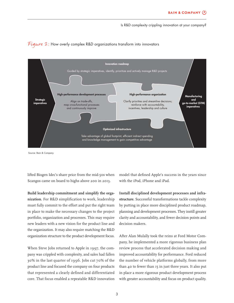



Source: Bain & Company

lifted Biogen Idec's share price from the mid-50s when Scangos came on board to highs above 200 in 2013.

**Build leadership commitment and simplify the orga**nization. For R&D simplification to work, leadership must fully commit to the effort and put the right team in place to make the necessary changes to the project portfolio, organization and processes. This may require new leaders with a new vision for the product line and the organization. It may also require matching the R&D organization structure to the product development focus.

When Steve Jobs returned to Apple in 1997, the company was crippled with complexity, and sales had fallen 30% in the last quarter of 1996. Jobs cut 70% of the product line and focused the company on four products that represented a clearly defined and differentiated core. That focus enabled a repeatable R&D innovation model that defined Apple's success in the years since with the iPod, iPhone and iPad.

**Install disciplined development processes and infrastructure.** Successful transformations tackle complexity by putting in place more disciplined product roadmap, planning and development processes. They instill greater clarity and accountability, and fewer decision points and decision makers.

After Alan Mulally took the reins at Ford Motor Company, he implemented a more rigorous business plan review process that accelerated decision making and improved accountability for performance. Ford reduced the number of vehicle platforms globally, from more than 40 to fewer than 15 in just three years. It also put in place a more rigorous product development process with greater accountability and focus on product quality.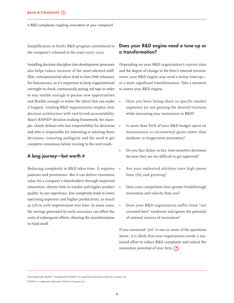Simplification in Ford's R&D program contributed to the company's rebound in the years 2007–2012.

Installing decision discipline into development processes also helps reduce turnover of the most talented staff. Elite, entrepreneurial talent tend to have little tolerance for bureaucracy, so it's important to keep organizational oversight in check, continuously paring red tape in order to stay nimble enough to pursue new opportunities and flexible enough to retain the talent that can make it happen. Leading R&D organizations employ clear decision architecture with end-to-end accountability. Bain's RAPID® decision-making framework, for example, clearly defines who has responsibility for decisions and who is responsible for informing or advising those decisions, removing ambiguity and the need to get complete consensus before moving to the next mark.

### **A long journey—but worth it**

Reducing complexity in R&D takes time. It requires patience and persistence. But it can deliver enormous value for a company's shareholders through improved innovation, shorter time to market and higher product quality. In our experience, less complexity leads to lower operating expenses and higher productivity, as much as 15% to 20% improvement over time. In some cases, the savings generated by early successes can offset the costs of subsequent efforts, allowing the transformation to fund itself.

## **Does your R&D engine need a tune-up or a transformation?**

Depending on your R&D organization's current state and the degree of change in the firm's external environment, your R&D engine may need a minor tune-up or a more significant transformation. Take a moment to assess your R&D engine.

- Have you been losing share in specific market segments (or not gaining the desired traction) while increasing your investment in R&D?
- Is more than 80% of your R&D budget spent on maintenance or incremental gains rather than medium- or longer-term innovation?
- Do you face delays in key, time-sensitive decisions because they are too difficult to get approved?
- Are your undesired attrition rates high (more than 5%) and growing?
- Does your competition have greater breakthrough innovation and velocity than you?
- Does your R&D organization suffer from "not invented here" syndrome and ignore the potential of external sources of innovation?

If you answered "yes" to two or more of the questions above, it is likely that your organization needs a sustained effort to reduce R&D complexity and unlock the innovation potential of your firm.  $\left( \right)$ 

Great Repeatable Models® and Repeatable Models® are registered trademarks of Bain & Company, Inc.

RAPID® is a registered trademarks of Bain & Company, Inc.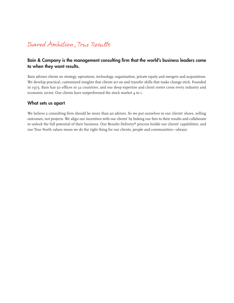# Shared Ampition, True Results

## Bain & Company is the management consulting firm that the world's business leaders come **to when they want results.**

Bain advises clients on strategy, operations, technology, organization, private equity and mergers and acquisitions. We develop practical, customized insights that clients act on and transfer skills that make change stick. Founded in 1973, Bain has 50 offices in 32 countries, and our deep expertise and client roster cross every industry and economic sector. Our clients have outperformed the stock market 4 to 1.

## **What sets us apart**

We believe a consulting firm should be more than an adviser. So we put ourselves in our clients' shoes, selling outcomes, not projects. We align our incentives with our clients' by linking our fees to their results and collaborate to unlock the full potential of their business. Our Results Delivery® process builds our clients' capabilities, and our True North values mean we do the right thing for our clients, people and communities—always.